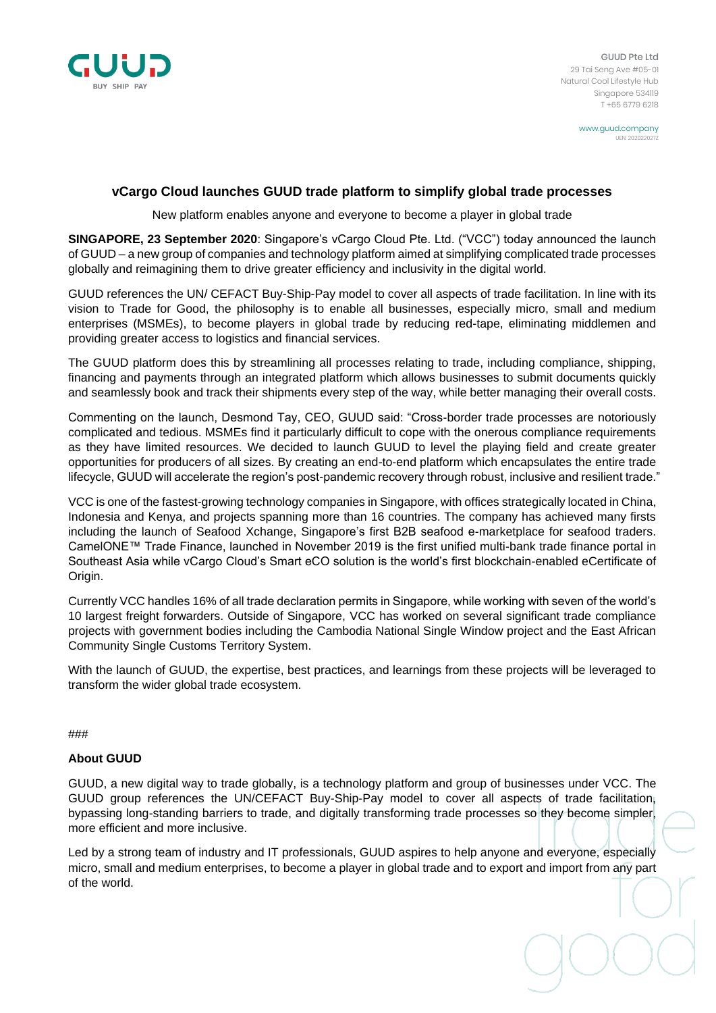

GUUD Pte Ltd 29 Tai Seng Ave #05-01 Natural Cool Lifestyle Hub Singapore 534119 T +65 6779 6218

> www.guud.company UEN: 2020

## **vCargo Cloud launches GUUD trade platform to simplify global trade processes**

New platform enables anyone and everyone to become a player in global trade

**SINGAPORE, 23 September 2020**: Singapore's vCargo Cloud Pte. Ltd. ("VCC") today announced the launch of GUUD – a new group of companies and technology platform aimed at simplifying complicated trade processes globally and reimagining them to drive greater efficiency and inclusivity in the digital world.

GUUD references the UN/ CEFACT Buy-Ship-Pay model to cover all aspects of trade facilitation. In line with its vision to Trade for Good, the philosophy is to enable all businesses, especially micro, small and medium enterprises (MSMEs), to become players in global trade by reducing red-tape, eliminating middlemen and providing greater access to logistics and financial services.

The GUUD platform does this by streamlining all processes relating to trade, including compliance, shipping, financing and payments through an integrated platform which allows businesses to submit documents quickly and seamlessly book and track their shipments every step of the way, while better managing their overall costs.

Commenting on the launch, Desmond Tay, CEO, GUUD said: "Cross-border trade processes are notoriously complicated and tedious. MSMEs find it particularly difficult to cope with the onerous compliance requirements as they have limited resources. We decided to launch GUUD to level the playing field and create greater opportunities for producers of all sizes. By creating an end-to-end platform which encapsulates the entire trade lifecycle, GUUD will accelerate the region's post-pandemic recovery through robust, inclusive and resilient trade."

VCC is one of the fastest-growing technology companies in Singapore, with offices strategically located in China, Indonesia and Kenya, and projects spanning more than 16 countries. The company has achieved many firsts including the launch of Seafood Xchange, Singapore's first B2B seafood e-marketplace for seafood traders. CamelONE™ Trade Finance, launched in November 2019 is the first unified multi-bank trade finance portal in Southeast Asia while vCargo Cloud's Smart eCO solution is the world's first blockchain-enabled eCertificate of Origin.

Currently VCC handles 16% of all trade declaration permits in Singapore, while working with seven of the world's 10 largest freight forwarders. Outside of Singapore, VCC has worked on several significant trade compliance projects with government bodies including the Cambodia National Single Window project and the East African Community Single Customs Territory System.

With the launch of GUUD, the expertise, best practices, and learnings from these projects will be leveraged to transform the wider global trade ecosystem.

## ###

## **About GUUD**

GUUD, a new digital way to trade globally, is a technology platform and group of businesses under VCC. The GUUD group references the UN/CEFACT Buy-Ship-Pay model to cover all aspects of trade facilitation, bypassing long-standing barriers to trade, and digitally transforming trade processes so they become simpler, more efficient and more inclusive.

Led by a strong team of industry and IT professionals, GUUD aspires to help anyone and everyone, especially micro, small and medium enterprises, to become a player in global trade and to export and import from any part of the world.